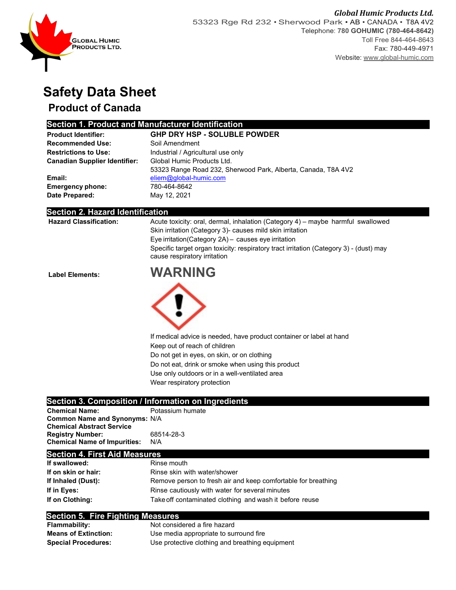

## **Safety Data Sheet**

### **Product of Canada**

#### **Section 1. Product and Manufacturer Identification**

| <b>Product Identifier:</b>           | <b>GHP DRY HSP - SOLUBLE POWDER</b>                           |  |  |
|--------------------------------------|---------------------------------------------------------------|--|--|
| <b>Recommended Use:</b>              | Soil Amendment                                                |  |  |
| <b>Restrictions to Use:</b>          | Industrial / Agricultural use only                            |  |  |
| <b>Canadian Supplier Identifier:</b> | Global Humic Products Ltd.                                    |  |  |
|                                      | 53323 Range Road 232, Sherwood Park, Alberta, Canada, T8A 4V2 |  |  |
| Email:                               | eliem@global-humic.com                                        |  |  |
| <b>Emergency phone:</b>              | 780-464-8642                                                  |  |  |
| Date Prepared:                       | May 12, 2021                                                  |  |  |

#### **Section 2. Hazard Identification**

| <b>Hazard Classification:</b> | Acute toxicity: oral, dermal, inhalation (Category 4) – maybe harmful swallowed                                        |  |
|-------------------------------|------------------------------------------------------------------------------------------------------------------------|--|
|                               | Skin irritation (Category 3) causes mild skin irritation                                                               |  |
|                               | Eye irritation (Category 2A) - causes eye irritation                                                                   |  |
|                               | Specific target organ toxicity: respiratory tract irritation (Category 3) - (dust) may<br>cause respiratory irritation |  |
|                               |                                                                                                                        |  |

**Label Elements: WARNING**



If medical advice is needed, have product container or label at hand Keep out of reach of children Do not get in eyes, on skin, or on clothing Do not eat, drink or smoke when using this product Use only outdoors or in a well-ventilated area

Wear respiratory protection

#### **Section 3. Composition / Information on Ingredients**

| <b>Chemical Name:</b>                | Potassium humate |
|--------------------------------------|------------------|
| <b>Common Name and Synonyms: N/A</b> |                  |
| <b>Chemical Abstract Service</b>     |                  |
| <b>Registry Number:</b>              | 68514-28-3       |
| <b>Chemical Name of Impurities:</b>  | N/A              |

#### **Section 4. First Aid Measures**

| If swallowed:       | Rinse mouth                                                   |  |
|---------------------|---------------------------------------------------------------|--|
| If on skin or hair: | Rinse skin with water/shower                                  |  |
| If Inhaled (Dust):  | Remove person to fresh air and keep comfortable for breathing |  |
| If in Eves:         | Rinse cautiously with water for several minutes               |  |
| If on Clothing:     | Take off contaminated clothing and wash it before reuse       |  |

#### **Section 5. Fire Fighting Measures**

| <b>Flammability:</b>        | Not considered a fire hazard                    |
|-----------------------------|-------------------------------------------------|
| <b>Means of Extinction:</b> | Use media appropriate to surround fire          |
| <b>Special Procedures:</b>  | Use protective clothing and breathing equipment |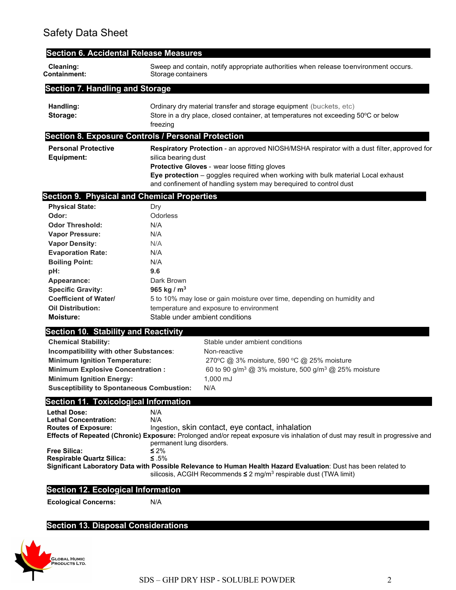| <b>Section 6. Accidental Release Measures</b>             |                                                                                                            |                                                                                                                                                                                                       |  |
|-----------------------------------------------------------|------------------------------------------------------------------------------------------------------------|-------------------------------------------------------------------------------------------------------------------------------------------------------------------------------------------------------|--|
| Cleaning:<br>Containment:                                 | Sweep and contain, notify appropriate authorities when release toenvironment occurs.<br>Storage containers |                                                                                                                                                                                                       |  |
| <b>Section 7. Handling and Storage</b>                    |                                                                                                            |                                                                                                                                                                                                       |  |
| Handling:                                                 |                                                                                                            | Ordinary dry material transfer and storage equipment (buckets, etc)                                                                                                                                   |  |
| Storage:                                                  | Store in a dry place, closed container, at temperatures not exceeding 50°C or below<br>freezing            |                                                                                                                                                                                                       |  |
| <b>Section 8. Exposure Controls / Personal Protection</b> |                                                                                                            |                                                                                                                                                                                                       |  |
| <b>Personal Protective</b>                                | Respiratory Protection - an approved NIOSH/MSHA respirator with a dust filter, approved for                |                                                                                                                                                                                                       |  |
| <b>Equipment:</b>                                         | silica bearing dust                                                                                        |                                                                                                                                                                                                       |  |
|                                                           |                                                                                                            | Protective Gloves - wear loose fitting gloves                                                                                                                                                         |  |
|                                                           |                                                                                                            | Eye protection - goggles required when working with bulk material Local exhaust<br>and confinement of handling system may berequired to control dust                                                  |  |
| <b>Section 9. Physical and Chemical Properties</b>        |                                                                                                            |                                                                                                                                                                                                       |  |
| <b>Physical State:</b>                                    | Dry                                                                                                        |                                                                                                                                                                                                       |  |
| Odor:                                                     | Odorless                                                                                                   |                                                                                                                                                                                                       |  |
| <b>Odor Threshold:</b>                                    | N/A                                                                                                        |                                                                                                                                                                                                       |  |
| <b>Vapor Pressure:</b>                                    | N/A                                                                                                        |                                                                                                                                                                                                       |  |
| <b>Vapor Density:</b>                                     | N/A                                                                                                        |                                                                                                                                                                                                       |  |
| <b>Evaporation Rate:</b>                                  | N/A                                                                                                        |                                                                                                                                                                                                       |  |
| <b>Boiling Point:</b>                                     | N/A                                                                                                        |                                                                                                                                                                                                       |  |
| pH:                                                       | 9.6                                                                                                        |                                                                                                                                                                                                       |  |
| Appearance:                                               | Dark Brown                                                                                                 |                                                                                                                                                                                                       |  |
| <b>Specific Gravity:</b>                                  | 965 kg / $m^3$                                                                                             |                                                                                                                                                                                                       |  |
| <b>Coefficient of Water/</b>                              |                                                                                                            | 5 to 10% may lose or gain moisture over time, depending on humidity and                                                                                                                               |  |
| <b>Oil Distribution:</b><br><b>Moisture:</b>              |                                                                                                            | temperature and exposure to environment<br>Stable under ambient conditions                                                                                                                            |  |
| <b>Section 10. Stability and Reactivity</b>               |                                                                                                            |                                                                                                                                                                                                       |  |
| <b>Chemical Stability:</b>                                |                                                                                                            | Stable under ambient conditions                                                                                                                                                                       |  |
| Incompatibility with other Substances:                    |                                                                                                            | Non-reactive                                                                                                                                                                                          |  |
| <b>Minimum Ignition Temperature:</b>                      |                                                                                                            | 270°C @ 3% moisture, 590 °C @ 25% moisture                                                                                                                                                            |  |
| <b>Minimum Explosive Concentration:</b>                   |                                                                                                            | 60 to 90 g/m <sup>3</sup> @ 3% moisture, 500 g/m <sup>3</sup> @ 25% moisture                                                                                                                          |  |
| <b>Minimum Ignition Energy:</b>                           |                                                                                                            | 1.000 mJ                                                                                                                                                                                              |  |
| <b>Susceptibility to Spontaneous Combustion:</b>          |                                                                                                            | N/A                                                                                                                                                                                                   |  |
| <b>Section 11. Toxicological Information</b>              |                                                                                                            |                                                                                                                                                                                                       |  |
| <b>Lethal Dose:</b>                                       | N/A                                                                                                        |                                                                                                                                                                                                       |  |
| <b>Lethal Concentration:</b>                              | N/A                                                                                                        |                                                                                                                                                                                                       |  |
| <b>Routes of Exposure:</b>                                | Ingestion, skin contact, eye contact, inhalation                                                           |                                                                                                                                                                                                       |  |
|                                                           | permanent lung disorders.                                                                                  | Effects of Repeated (Chronic) Exposure: Prolonged and/or repeat exposure vis inhalation of dust may result in progressive and                                                                         |  |
| <b>Free Silica:</b>                                       | $\leq 2\%$                                                                                                 |                                                                                                                                                                                                       |  |
| <b>Respirable Quartz Silica:</b>                          | ≤ .5%                                                                                                      |                                                                                                                                                                                                       |  |
|                                                           |                                                                                                            | Significant Laboratory Data with Possible Relevance to Human Health Hazard Evaluation: Dust has been related to<br>silicosis, ACGIH Recommends $\leq 2$ mg/m <sup>3</sup> respirable dust (TWA limit) |  |
| <b>Section 12. Ecological Information</b>                 |                                                                                                            |                                                                                                                                                                                                       |  |
| <b>Ecological Concerns:</b>                               | N/A                                                                                                        |                                                                                                                                                                                                       |  |
|                                                           |                                                                                                            |                                                                                                                                                                                                       |  |
| <b>Section 13. Disposal Considerations</b>                |                                                                                                            |                                                                                                                                                                                                       |  |